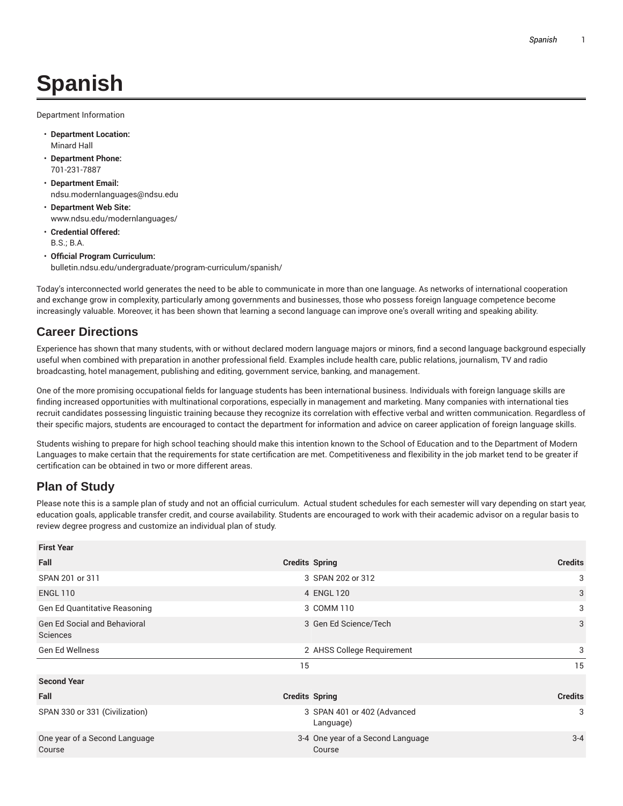## **Spanish**

Department Information

- **Department Location:** Minard Hall
- **Department Phone:** 701-231-7887
- **Department Email:** ndsu.modernlanguages@ndsu.edu
- **Department Web Site:** www.ndsu.edu/modernlanguages/
- **Credential Offered:** B.S.; B.A.
- **Official Program Curriculum:** bulletin.ndsu.edu/undergraduate/program-curriculum/spanish/

Today's interconnected world generates the need to be able to communicate in more than one language. As networks of international cooperation and exchange grow in complexity, particularly among governments and businesses, those who possess foreign language competence become increasingly valuable. Moreover, it has been shown that learning a second language can improve one's overall writing and speaking ability.

## **Career Directions**

Experience has shown that many students, with or without declared modern language majors or minors, find a second language background especially useful when combined with preparation in another professional field. Examples include health care, public relations, journalism, TV and radio broadcasting, hotel management, publishing and editing, government service, banking, and management.

One of the more promising occupational fields for language students has been international business. Individuals with foreign language skills are finding increased opportunities with multinational corporations, especially in management and marketing. Many companies with international ties recruit candidates possessing linguistic training because they recognize its correlation with effective verbal and written communication. Regardless of their specific majors, students are encouraged to contact the department for information and advice on career application of foreign language skills.

Students wishing to prepare for high school teaching should make this intention known to the School of Education and to the Department of Modern Languages to make certain that the requirements for state certification are met. Competitiveness and flexibility in the job market tend to be greater if certification can be obtained in two or more different areas.

## **Plan of Study**

Please note this is a sample plan of study and not an official curriculum. Actual student schedules for each semester will vary depending on start year, education goals, applicable transfer credit, and course availability. Students are encouraged to work with their academic advisor on a regular basis to review degree progress and customize an individual plan of study.

| <b>First Year</b>                               |                       |                                             |                |
|-------------------------------------------------|-----------------------|---------------------------------------------|----------------|
| Fall                                            | <b>Credits Spring</b> |                                             | <b>Credits</b> |
| SPAN 201 or 311                                 |                       | 3 SPAN 202 or 312                           | 3              |
| <b>ENGL 110</b>                                 |                       | 4 ENGL 120                                  | 3              |
| <b>Gen Ed Quantitative Reasoning</b>            |                       | 3 COMM 110                                  | 3              |
| <b>Gen Ed Social and Behavioral</b><br>Sciences |                       | 3 Gen Ed Science/Tech                       | 3              |
| <b>Gen Ed Wellness</b>                          |                       | 2 AHSS College Requirement                  | 3              |
|                                                 | 15                    |                                             | 15             |
| <b>Second Year</b>                              |                       |                                             |                |
| Fall                                            | <b>Credits Spring</b> |                                             | <b>Credits</b> |
| SPAN 330 or 331 (Civilization)                  |                       | 3 SPAN 401 or 402 (Advanced<br>Language)    | 3              |
| One year of a Second Language<br>Course         |                       | 3-4 One year of a Second Language<br>Course | $3 - 4$        |